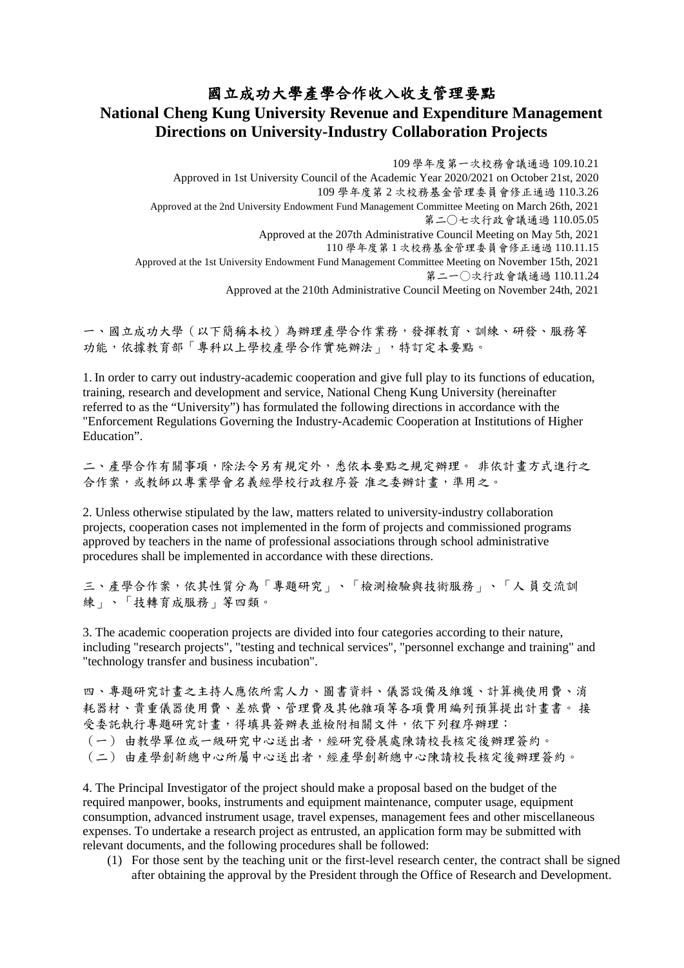## 國立成功大學產學合作收入收支管理要點

# **National Cheng Kung University Revenue and Expenditure Management Directions on University-Industry Collaboration Projects**

109 學年度第一次校務會議通過 109.10.21 Approved in 1st University Council of the Academic Year 2020/2021 on October 21st, 2020 109 學年度第 2 次校務基金管理委員會修正通過 110.3.26 Approved at the 2nd University Endowment Fund Management Committee Meeting on March 26th, 2021 第二○七次行政會議通過 110.05.05 Approved at the 207th Administrative Council Meeting on May 5th, 2021 110 學年度第 1 次校務基金管理委員會修正通過 110.11.15 Approved at the 1st University Endowment Fund Management Committee Meeting on November 15th, 2021 第二一○次行政會議通過 110.11.24 Approved at the 210th Administrative Council Meeting on November 24th, 2021

一、國立成功大學(以下簡稱本校)為辦理產學合作業務,發揮教育、訓練、研發、服務等 功能,依據教育部「專科以上學校產學合作實施辦法」,特訂定本要點。

1. In order to carry out industry-academic cooperation and give full play to its functions of education, training, research and development and service, National Cheng Kung University (hereinafter referred to as the "University") has formulated the following directions in accordance with the "Enforcement Regulations Governing the Industry-Academic Cooperation at Institutions of Higher Education".

二、產學合作有關事項,除法令另有規定外,悉依本要點之規定辦理。 非依計畫方式進行之 合作案,或教師以專業學會名義經學校行政程序簽 准之委辦計畫,準用之。

2. Unless otherwise stipulated by the law, matters related to university-industry collaboration projects, cooperation cases not implemented in the form of projects and commissioned programs approved by teachers in the name of professional associations through school administrative procedures shall be implemented in accordance with these directions.

三、產學合作案,依其性質分為「專題研究」、「檢測檢驗與技術服務」、「人 員交流訓 練」、「技轉育成服務」等四類。

3. The academic cooperation projects are divided into four categories according to their nature, including "research projects", "testing and technical services", "personnel exchange and training" and "technology transfer and business incubation".

四、專題研究計畫之主持人應依所需人力、圖書資料、儀器設備及維護、計算機使用費、消 耗器材、貴重儀器使用費、差旅費、管理費及其他雜項等各項費用編列預算提出計畫書。 接 受委託執行專題研究計書,得填具簽辦表並檢附相關文件,依下列程序辦理: (一) 由教學單位或一級研究中心送出者,經研究發展處陳請校長核定後辦理簽約。 (二) 由產學創新總中心所屬中心送出者,經產學創新總中心陳請校長核定後辦理簽約。

4. The Principal Investigator of the project should make a proposal based on the budget of the required manpower, books, instruments and equipment maintenance, computer usage, equipment consumption, advanced instrument usage, travel expenses, management fees and other miscellaneous expenses. To undertake a research project as entrusted, an application form may be submitted with relevant documents, and the following procedures shall be followed:

(1) For those sent by the teaching unit or the first-level research center, the contract shall be signed after obtaining the approval by the President through the Office of Research and Development.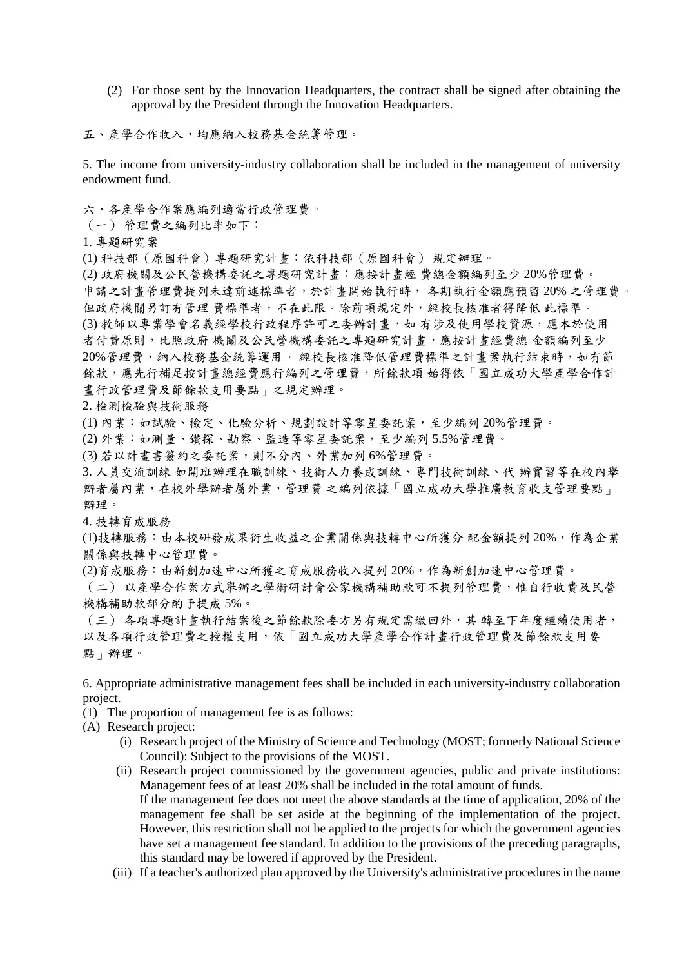(2) For those sent by the Innovation Headquarters, the contract shall be signed after obtaining the approval by the President through the Innovation Headquarters.

五、產學合作收入,均應納入校務基金統籌管理。

5. The income from university-industry collaboration shall be included in the management of university endowment fund.

六、各產學合作案應編列適當行政管理費。

(一) 管理費之編列比率如下:

1. 專題研究案

(1) 科技部(原國科會)專題研究計畫:依科技部(原國科會) 規定辦理。

(2) 政府機關及公民營機構委託之專題研究計畫:應按計畫經 費總金額編列至少 20%管理費。 申請之計畫管理費提列未達前述標準者,於計畫開始執行時, 各期執行金額應預留 20% 之管理費。 但政府機關另訂有管理 費標準者,不在此限。除前項規定外,經校長核准者得降低 此標準。 (3) 教師以專業學會名義經學校行政程序許可之委辦計畫, 如 有涉及使用學校資源,應本於使用 者付費原則,比照政府 機關及公民營機構委託之專題研究計畫,應按計畫經費總 金額編列至少 20%管理費,納入校務基金統籌運用。 經校長核准降低管理費標準之計畫案執行結束時,如有節 餘款,應先行補足按計畫總經費應行編列之管理費,所餘款項 始得依「國立成功大學產學合作計 畫行政管理費及節餘款支用要點」之規定辦理。

#### 2. 檢測檢驗與技術服務

(1) 內業:如試驗、檢定、化驗分析、規劃設計等零星委託案,至少編列 20%管理費。

(2) 外業:如測量、鑽探、勘察、監造等零星委託案,至少編列 5.5%管理費。

(3) 若以計畫書簽約之委託案,則不分內、外業加列 6%管理費。

3. 人員交流訓練 如開班辦理在職訓練、技術人力養成訓練、專門技術訓練、代 辦實習等在校內舉 辦者屬內業,在校外舉辦者屬外業,管理費之編列依據「國立成功大學推廣教育收支管理要點」 辦理。

4. 技轉育成服務

(1)技轉服務:由本校研發成果衍生收益之企業關係與技轉中心所獲分 配金額提列 20%,作為企業 關係與技轉中心管理費。

(2)育成服務:由新創加速中心所獲之育成服務收入提列 20%,作為新創加速中心管理費。

(二) 以產學合作案方式舉辦之學術研討會公家機構補助款可不提列管理費,惟自行收費及民營 機構補助款部分酌予提成 5%。

(三) 各項專題計畫執行結案後之節餘款除委方另有規定需繳回外,其 轉至下年度繼續使用者, 以及各項行政管理費之授權支用,依「國立成功大學產學合作計書行政管理費及節餘款支用要 點」辦理。

6. Appropriate administrative management fees shall be included in each university-industry collaboration project.

(1) The proportion of management fee is as follows:

- (A) Research project:
	- (i) Research project of the Ministry of Science and Technology (MOST; formerly National Science Council): Subject to the provisions of the MOST.
	- (ii) Research project commissioned by the government agencies, public and private institutions: Management fees of at least 20% shall be included in the total amount of funds. If the management fee does not meet the above standards at the time of application, 20% of the management fee shall be set aside at the beginning of the implementation of the project. However, this restriction shall not be applied to the projects for which the government agencies have set a management fee standard. In addition to the provisions of the preceding paragraphs, this standard may be lowered if approved by the President.
	- (iii) If a teacher's authorized plan approved by the University's administrative procedures in the name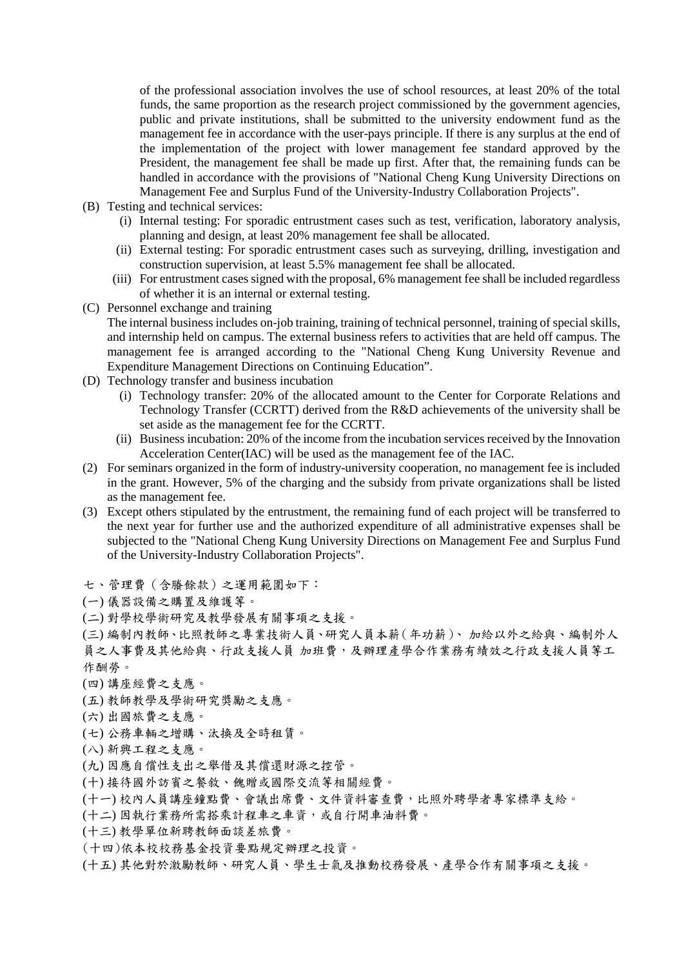of the professional association involves the use of school resources, at least 20% of the total funds, the same proportion as the research project commissioned by the government agencies, public and private institutions, shall be submitted to the university endowment fund as the management fee in accordance with the user-pays principle. If there is any surplus at the end of the implementation of the project with lower management fee standard approved by the President, the management fee shall be made up first. After that, the remaining funds can be handled in accordance with the provisions of "National Cheng Kung University Directions on Management Fee and Surplus Fund of the University-Industry Collaboration Projects".

- (B) Testing and technical services:
	- (i) Internal testing: For sporadic entrustment cases such as test, verification, laboratory analysis, planning and design, at least 20% management fee shall be allocated.
	- (ii) External testing: For sporadic entrustment cases such as surveying, drilling, investigation and construction supervision, at least 5.5% management fee shall be allocated.
	- (iii) For entrustment cases signed with the proposal, 6% management fee shall be included regardless of whether it is an internal or external testing.
- (C) Personnel exchange and training

The internal business includes on-job training, training of technical personnel, training of special skills, and internship held on campus. The external business refers to activities that are held off campus. The management fee is arranged according to the "National Cheng Kung University Revenue and Expenditure Management Directions on Continuing Education".

- (D) Technology transfer and business incubation
	- (i) Technology transfer: 20% of the allocated amount to the Center for Corporate Relations and Technology Transfer (CCRTT) derived from the R&D achievements of the university shall be set aside as the management fee for the CCRTT.
	- (ii) Business incubation: 20% of the income from the incubation services received by the Innovation Acceleration Center(IAC) will be used as the management fee of the IAC.
- (2) For seminars organized in the form of industry-university cooperation, no management fee is included in the grant. However, 5% of the charging and the subsidy from private organizations shall be listed as the management fee.
- (3) Except others stipulated by the entrustment, the remaining fund of each project will be transferred to the next year for further use and the authorized expenditure of all administrative expenses shall be subjected to the "National Cheng Kung University Directions on Management Fee and Surplus Fund of the University-Industry Collaboration Projects".
- 七、管理費(含賸餘款)之運用範圍如下:
- (一) 儀器設備之購置及維護等。
- (二) 對學校學術研究及教學發展有關事項之支援。

(三) 編制內教師、比照教師之專業技術人員、研究人員本薪(年功薪)、 加給以外之給與、編制外人 員之人事費及其他給與、行政支援人員 加班費,及辦理產學合作業務有績效之行政支援人員等工 作酬勞。

- (四) 講座經費之支應。
- (五) 教師教學及學術研究獎勵之支應。
- (六) 出國旅費之支應。
- (七) 公務車輛之增購、汰換及全時租賃。
- (八) 新興工程之支應。
- (九) 因應自償性支出之舉借及其償還財源之控管。
- (十) 接待國外訪賓之餐敘、餽贈或國際交流等相關經費。
- (十一) 校內人員講座鐘點費、會議出席費、文件資料審查費,比照外聘學者專家標準支給。
- (十二) 因執行業務所需搭乘計程車之車資,或自行開車油料費。
- (十三) 教學單位新聘教師面談差旅費。
- (十四)依本校校務基金投資要點規定辦理之投資。
- (十五) 其他對於激勵教師、研究人員、學生士氣及推動校務發展、產學合作有關事項之支援。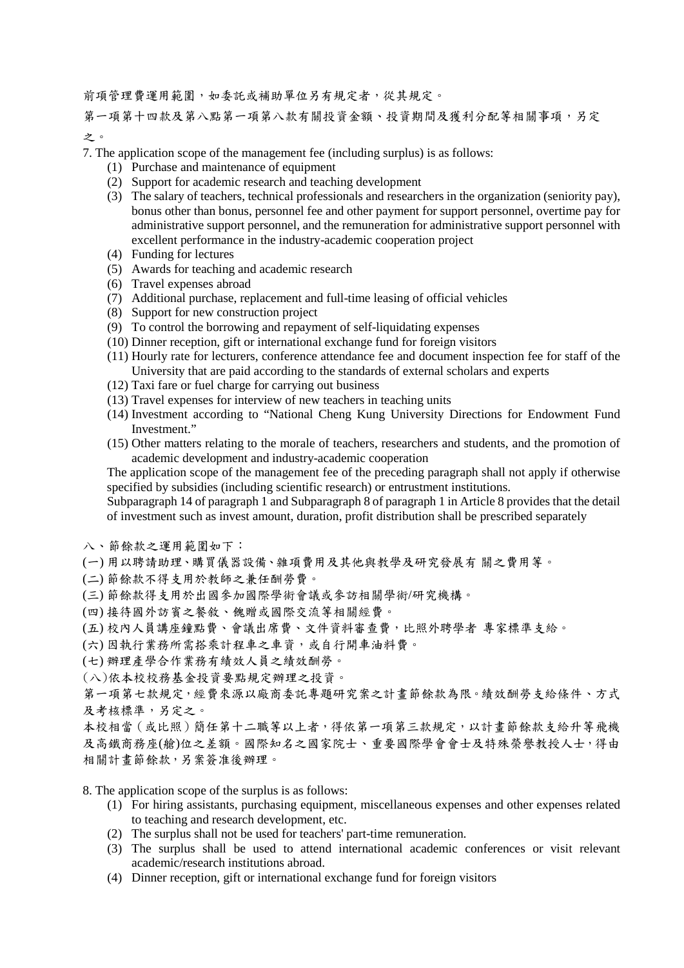前項管理費運用範圍,如委託或補助單位另有規定者,從其規定。

第一項第十四款及第八部第一項第八款有關投資金額、投資期間及獲利分配等相關事項,另定 之。

7. The application scope of the management fee (including surplus) is as follows:

- (1) Purchase and maintenance of equipment
- (2) Support for academic research and teaching development
- (3) The salary of teachers, technical professionals and researchers in the organization (seniority pay), bonus other than bonus, personnel fee and other payment for support personnel, overtime pay for administrative support personnel, and the remuneration for administrative support personnel with excellent performance in the industry-academic cooperation project
- (4) Funding for lectures
- (5) Awards for teaching and academic research
- (6) Travel expenses abroad
- (7) Additional purchase, replacement and full-time leasing of official vehicles
- (8) Support for new construction project
- (9) To control the borrowing and repayment of self-liquidating expenses
- (10) Dinner reception, gift or international exchange fund for foreign visitors
- (11) Hourly rate for lecturers, conference attendance fee and document inspection fee for staff of the University that are paid according to the standards of external scholars and experts
- (12) Taxi fare or fuel charge for carrying out business
- (13) Travel expenses for interview of new teachers in teaching units
- (14) Investment according to "National Cheng Kung University Directions for Endowment Fund Investment."
- (15) Other matters relating to the morale of teachers, researchers and students, and the promotion of academic development and industry-academic cooperation

The application scope of the management fee of the preceding paragraph shall not apply if otherwise specified by subsidies (including scientific research) or entrustment institutions.

Subparagraph 14 of paragraph 1 and Subparagraph 8 of paragraph 1 in Article 8 provides that the detail of investment such as invest amount, duration, profit distribution shall be prescribed separately

- 八、節餘款之運用範圍如下:
- (一) 用以聘請助理、購買儀器設備、雜項費用及其他與教學及研究發展有 關之費用等。
- (二) 節餘款不得支用於教師之兼任酬勞費。
- (三) 節餘款得支用於出國參加國際學術會議或參訪相關學術/研究機構。
- (四) 接待國外訪賓之餐敘、餽贈或國際交流等相關經費。
- (五) 校內人員講座鐘點費、會議出席費、文件資料審查費,比照外聘學者 專家標準支給。
- (六) 因執行業務所需搭乘計程車之車資,或自行開車油料費。
- (七) 辦理產學合作業務有績效人員之績效酬勞。
- (八)依本校校務基金投資要點規定辦理之投資。

第一項第七款規定,經費來源以廠商委託專題研究案之計畫節餘款為限。績效酬勞支給條件、方式 及考核標準,另定之。

本校相當(或比照)簡任第十二職等以上者,得依第一項第三款規定,以計畫節餘款支給升等飛機 及高鐵商務座(艙)位之差額。國際知名之國家院士、重要國際學會會士及特殊榮譽教授人士,得由 相關計畫節餘款,另案簽准後辦理。

- 8. The application scope of the surplus is as follows:
	- (1) For hiring assistants, purchasing equipment, miscellaneous expenses and other expenses related to teaching and research development, etc.
	- (2) The surplus shall not be used for teachers' part-time remuneration.
	- (3) The surplus shall be used to attend international academic conferences or visit relevant academic/research institutions abroad.
	- (4) Dinner reception, gift or international exchange fund for foreign visitors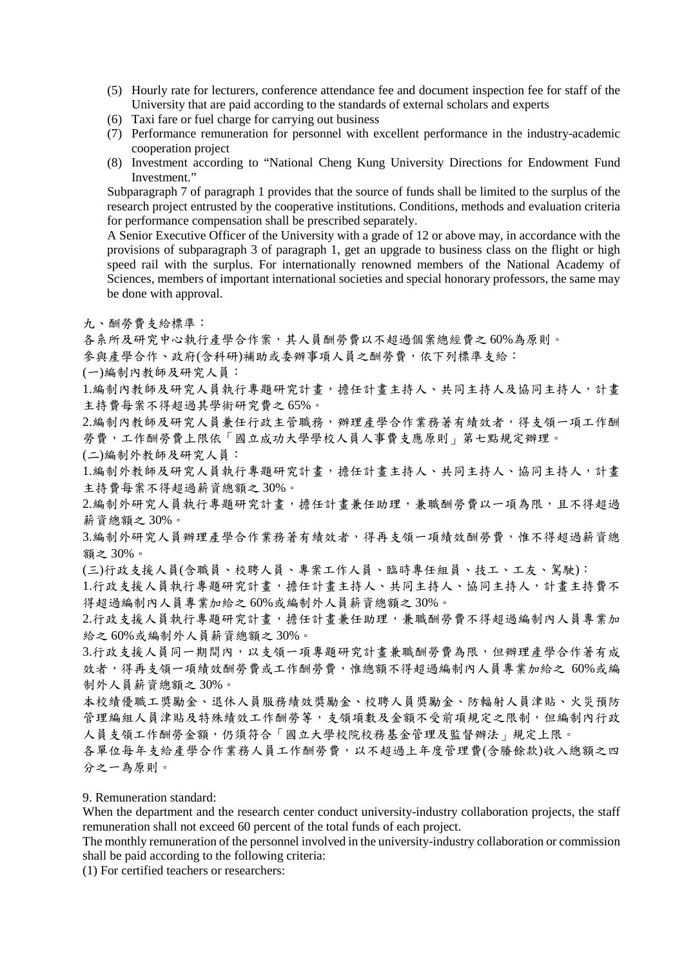- (5) Hourly rate for lecturers, conference attendance fee and document inspection fee for staff of the University that are paid according to the standards of external scholars and experts
- (6) Taxi fare or fuel charge for carrying out business
- (7) Performance remuneration for personnel with excellent performance in the industry-academic cooperation project
- (8) Investment according to "National Cheng Kung University Directions for Endowment Fund Investment."

Subparagraph 7 of paragraph 1 provides that the source of funds shall be limited to the surplus of the research project entrusted by the cooperative institutions. Conditions, methods and evaluation criteria for performance compensation shall be prescribed separately.

A Senior Executive Officer of the University with a grade of 12 or above may, in accordance with the provisions of subparagraph 3 of paragraph 1, get an upgrade to business class on the flight or high speed rail with the surplus. For internationally renowned members of the National Academy of Sciences, members of important international societies and special honorary professors, the same may be done with approval.

九、酬勞費支給標準:

各系所及研究中心執行產學合作案,其人員酬勞費以不超過個案總經費之 60%為原則。

參與產學合作、政府(含科研)補助或委辦事項人員之酬勞費,依下列標準支給:

(一)編制內教師及研究人員:

1.編制內教師及研究人員執行專題研究計畫,擔任計畫主持人、共同主持人及協同主持人,計畫 主持費每案不得超過其學術研究費之 65%。

2.編制內教師及研究人員兼任行政主管職務,辦理產學合作業務著有績效者,得支領一項工作酬 勞費,工作酬勞費上限依「國立成功大學學校人員人事費支應原則」第七點規定辦理。

(二)編制外教師及研究人員:

1.編制外教師及研究人員執行專題研究計畫,擔任計畫主持人、共同主持人、協同主持人,計畫 主持費每案不得超過薪資總額之 30%。

2.編制外研究人員執行專題研究計畫,擔任計畫兼任助理,兼職酬勞費以一項為限,且不得超過 薪資總額之 30%。

3.編制外研究人員辦理產學合作業務著有績效者,得再支領一項績效酬勞費,惟不得超過薪資總 額之 30%。

(三)行政支援人員(含職員、校聘人員、專案工作人員、臨時專任組員、技工、工友、駕駛):

1.行政支援人員執行專題研究計畫,擔任計畫主持人、共同主持人、協同主持人,計畫主持費不 得超過編制內人員專業加給之 60%或編制外人員薪資總額之 30%。

2.行政支援人員執行專題研究計畫,擔任計畫兼任助理,兼職酬勞費不得超過編制內人員專業加 給之 60%或編制外人員薪資總額之 30%。

3.行政支援人員同一期間內,以支領一項專題研究計畫兼職酬勞費為限,但辦理產學合作著有成 效者,得再支領一項績效酬勞費或工作酬勞費,惟總額不得超過編制內人員專業加給之 60%或編 制外人員薪資總額之 30%。

本校績優職工獎勵金、退休人員服務績效獎勵金、校聘人員獎勵金、防輻射人員津貼、火災預防 管理編組人員津貼及特殊績效工作酬勞等,支領項數及金額不受前項規定之限制,但編制內行政 人員支領工作酬勞金額,仍須符合「國立大學校院校務基金管理及監督辦法」規定上限。

各單位每年支給產學合作業務人員工作酬勞費,以不超過上年度管理費(含賸餘款)收入總額之四 分之一為原則。

9. Remuneration standard:

When the department and the research center conduct university-industry collaboration projects, the staff remuneration shall not exceed 60 percent of the total funds of each project.

The monthly remuneration of the personnel involved in the university-industry collaboration or commission shall be paid according to the following criteria:

(1) For certified teachers or researchers: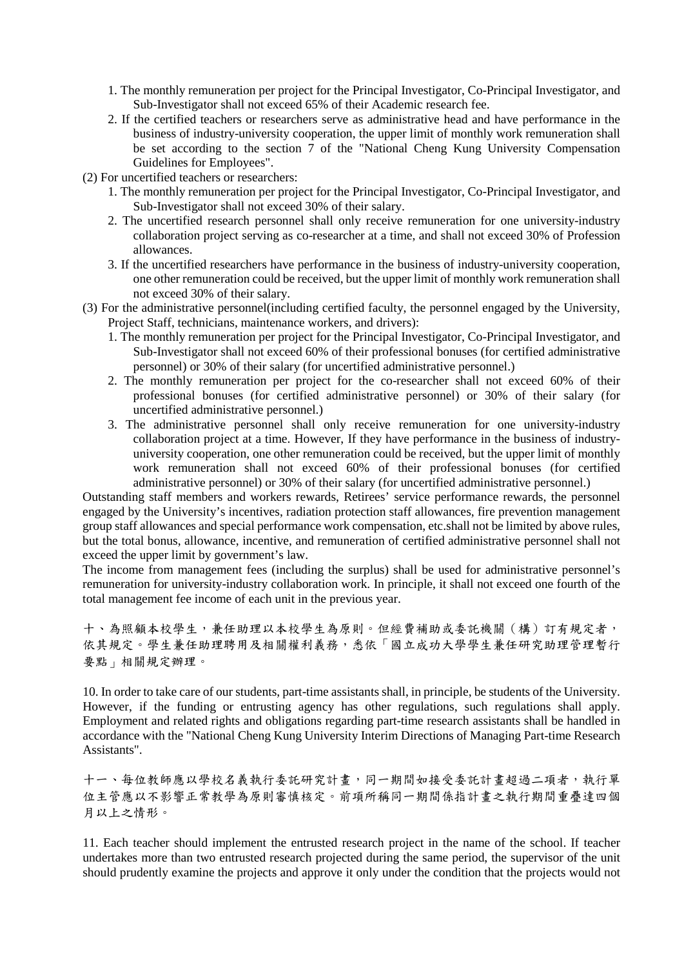- 1. The monthly remuneration per project for the Principal Investigator, Co-Principal Investigator, and Sub-Investigator shall not exceed 65% of their Academic research fee.
- 2. If the certified teachers or researchers serve as administrative head and have performance in the business of industry-university cooperation, the upper limit of monthly work remuneration shall be set according to the section 7 of the "National Cheng Kung University Compensation Guidelines for Employees".
- (2) For uncertified teachers or researchers:
	- 1. The monthly remuneration per project for the Principal Investigator, Co-Principal Investigator, and Sub-Investigator shall not exceed 30% of their salary.
	- 2. The uncertified research personnel shall only receive remuneration for one university-industry collaboration project serving as co-researcher at a time, and shall not exceed 30% of Profession allowances.
	- 3. If the uncertified researchers have performance in the business of industry-university cooperation, one other remuneration could be received, but the upper limit of monthly work remuneration shall not exceed 30% of their salary.
- (3) For the administrative personnel(including certified faculty, the personnel engaged by the University, Project Staff, technicians, maintenance workers, and drivers):
	- 1. The monthly remuneration per project for the Principal Investigator, Co-Principal Investigator, and Sub-Investigator shall not exceed 60% of their professional bonuses (for certified administrative personnel) or 30% of their salary (for uncertified administrative personnel.)
	- 2. The monthly remuneration per project for the co-researcher shall not exceed 60% of their professional bonuses (for certified administrative personnel) or 30% of their salary (for uncertified administrative personnel.)
	- 3. The administrative personnel shall only receive remuneration for one university-industry collaboration project at a time. However, If they have performance in the business of industryuniversity cooperation, one other remuneration could be received, but the upper limit of monthly work remuneration shall not exceed 60% of their professional bonuses (for certified administrative personnel) or 30% of their salary (for uncertified administrative personnel.)

Outstanding staff members and workers rewards, Retirees' service performance rewards, the personnel engaged by the University's incentives, radiation protection staff allowances, fire prevention management group staff allowances and special performance work compensation, etc.shall not be limited by above rules, but the total bonus, allowance, incentive, and remuneration of certified administrative personnel shall not exceed the upper limit by government's law.

The income from management fees (including the surplus) shall be used for administrative personnel's remuneration for university-industry collaboration work. In principle, it shall not exceed one fourth of the total management fee income of each unit in the previous year.

十、為照顧本校學生,兼任助理以本校學生為原則。但經費補助或委託機關(構)訂有規定者, 依其規定。學生兼任助理聘用及相關權利義務,悉依「國立成功大學學生兼任研究助理管理暫行 要點」相關規定辦理。

10. In order to take care of our students, part-time assistants shall, in principle, be students of the University. However, if the funding or entrusting agency has other regulations, such regulations shall apply. Employment and related rights and obligations regarding part-time research assistants shall be handled in accordance with the "National Cheng Kung University Interim Directions of Managing Part-time Research Assistants".

十一、每位教師應以學校名義執行委託研究計畫,同一期間如接受委託計畫超過二項者,執行單 位主管應以不影響正常教學為原則審慎核定。前項所稱同一期間係指計畫之執行期間重疊達四個 月以上之情形。

11. Each teacher should implement the entrusted research project in the name of the school. If teacher undertakes more than two entrusted research projected during the same period, the supervisor of the unit should prudently examine the projects and approve it only under the condition that the projects would not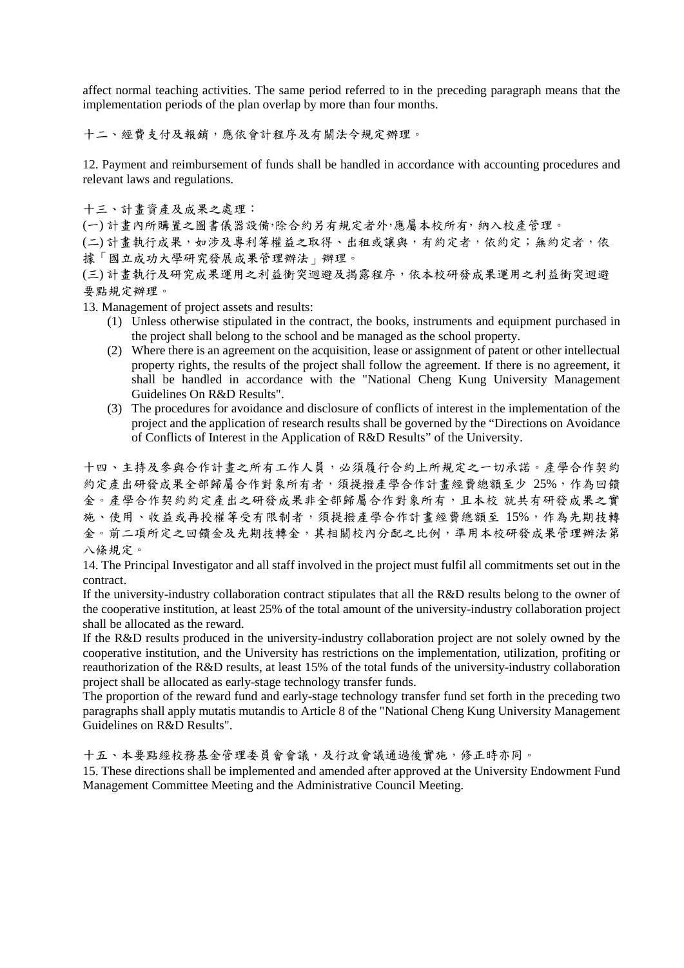affect normal teaching activities. The same period referred to in the preceding paragraph means that the implementation periods of the plan overlap by more than four months.

十二、經費支付及報銷,應依會計程序及有關法令規定辦理。

12. Payment and reimbursement of funds shall be handled in accordance with accounting procedures and relevant laws and regulations.

十三、計畫資產及成果之處理:

(一) 計畫內所購置之圖書儀器設備,除合約另有規定者外,應屬本校所有,納入校產管理。

(二) 計畫執行成果,如涉及專利等權益之取得、出租或讓與,有約定者,依約定;無約定者,依 據「國立成功大學研究發展成果管理辦法」辦理。

(三) 計畫執行及研究成果運用之利益衝突迴避及揭露程序,依本校研發成果運用之利益衝突迴避 要點規定辦理。

13. Management of project assets and results:

- (1) Unless otherwise stipulated in the contract, the books, instruments and equipment purchased in the project shall belong to the school and be managed as the school property.
- (2) Where there is an agreement on the acquisition, lease or assignment of patent or other intellectual property rights, the results of the project shall follow the agreement. If there is no agreement, it shall be handled in accordance with the "National Cheng Kung University Management Guidelines On R&D Results".
- (3) The procedures for avoidance and disclosure of conflicts of interest in the implementation of the project and the application of research results shall be governed by the "Directions on Avoidance of Conflicts of Interest in the Application of R&D Results" of the University.

十四、主持及參與合作計畫之所有工作人員,必須履行合約上所規定之一切承諾。產學合作契約 約定產出研發成果全部歸屬合作對象所有者,須提撥產學合作計畫經費總額至少 25%,作為回饋 金。產學合作契約定產出之研發成果非全部歸屬合作對象所有,且本校 就共有研發成果之實 施、使用、收益或再授權等受有限制者,須提撥產學合作計畫經費總額至 15%,作為先期技轉 金。前二項所定之回饋金及先期技轉金,其相關校內分配之比例,準用本校研發成果管理辦法第 八條規定。

14. The Principal Investigator and all staff involved in the project must fulfil all commitments set out in the contract.

If the university-industry collaboration contract stipulates that all the R&D results belong to the owner of the cooperative institution, at least 25% of the total amount of the university-industry collaboration project shall be allocated as the reward.

If the R&D results produced in the university-industry collaboration project are not solely owned by the cooperative institution, and the University has restrictions on the implementation, utilization, profiting or reauthorization of the R&D results, at least 15% of the total funds of the university-industry collaboration project shall be allocated as early-stage technology transfer funds.

The proportion of the reward fund and early-stage technology transfer fund set forth in the preceding two paragraphs shall apply mutatis mutandis to Article 8 of the "National Cheng Kung University Management Guidelines on R&D Results".

十五、本要點經校務基金管理委員會會議,及行政會議通過後實施,修正時亦同。

15. These directions shall be implemented and amended after approved at the University Endowment Fund Management Committee Meeting and the Administrative Council Meeting.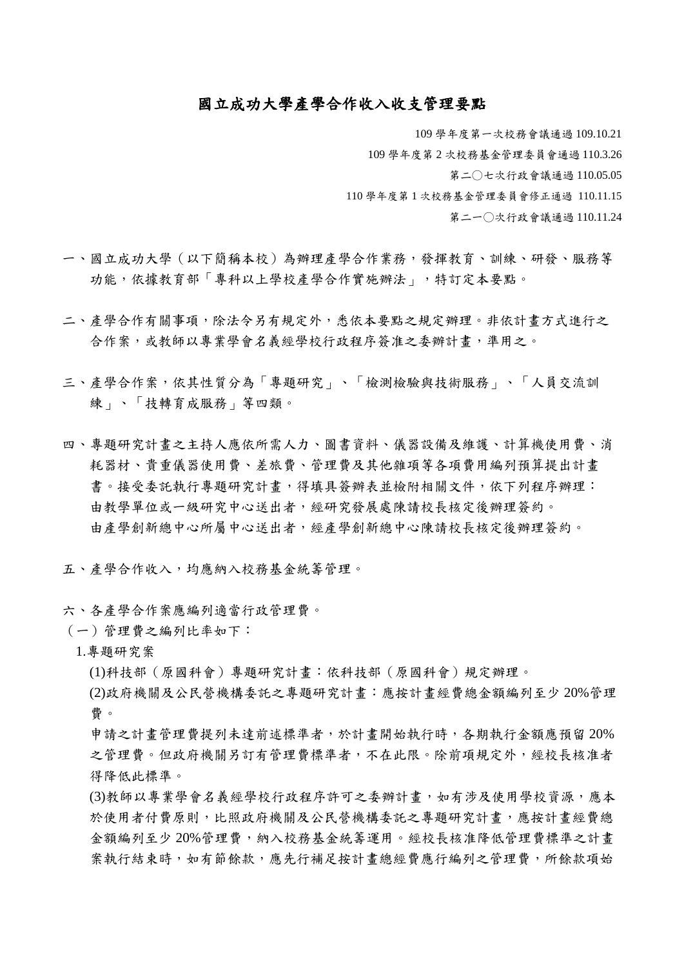### 國立成功大學產學合作收入收支管理要點

109 學年度第一次校務會議通過 109.10.21 109 學年度第 2 次校務基金管理委員會通過 110.3.26 第二○七次行政會議通過 110.05.05 110 學年度第 1 次校務基金管理委員會修正通過 110.11.15 第二一○次行政會議通過 110.11.24

- 一、國立成功大學(以下簡稱本校)為辦理產學合作業務,發揮教育、訓練、研發、服務等 功能,依據教育部「專科以上學校產學合作實施辦法」,特訂定本要點。
- 二、產學合作有關事項,除法令另有規定外,悉依本要點之規定辦理。非依計畫方式進行之 合作案,或教師以專業學會名義經學校行政程序簽准之委辦計畫,準用之。
- 三、產學合作案,依其性質分為「專題研究」、「檢測檢驗與技術服務」、「人員交流訓 練」、「技轉育成服務」等四類。
- 四、專題研究計畫之主持人應依所需人力、圖書資料、儀器設備及維護、計算機使用費、消 耗器材、貴重儀器使用費、差旅費、管理費及其他雜項等各項費用編列預算提出計畫 書。接受委託執行專題研究計書,得填具簽辦表並檢附相關文件,依下列程序辦理: 由教學單位或一級研究中心送出者,經研究發展處陳請校長核定後辦理簽約。 由產學創新總中心所屬中心送出者,經產學創新總中心陳請校長核定後辦理簽約。
- 五、產學合作收入,均應納入校務基金統籌管理。
- 六、各產學合作案應編列適當行政管理費。
- (一)管理費之編列比率如下:
	- 1.專題研究案
		- (1)科技部(原國科會)專題研究計畫:依科技部(原國科會)規定辦理。
		- (2)政府機關及公民營機構委託之專題研究計畫:應按計畫經費總金額編列至少 20%管理 費。
		- 申請之計畫管理費提列未達前述標準者,於計畫開始執行時,各期執行金額應預留 20% 之管理費。但政府機關另訂有管理費標準者,不在此限。除前項規定外,經校長核准者 得降低此標準。
		- (3)教師以專業學會名義經學校行政程序許可之委辦計書,如有涉及使用學校資源,應本 於使用者付費原則,比照政府機關及公民營機構委託之專題研究計畫,應按計畫經費總 金額編列至少 20%管理費,納入校務基金統籌運用。經校長核准降低管理費標準之計畫 案執行結束時,如有節餘款,應先行補足按計畫總經費應行編列之管理費,所餘款項始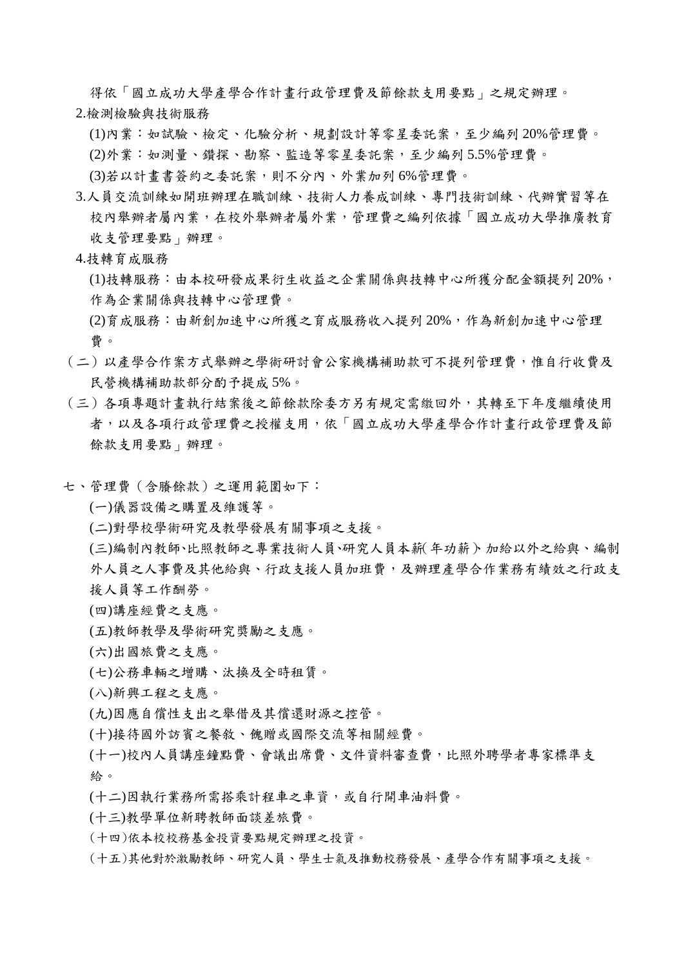得依「國立成功大學產學合作計畫行政管理費及節餘款支用要點」之規定辦理。 2.檢測檢驗與技術服務

(1)內業:如試驗、檢定、化驗分析、規劃設計等零星委託案,至少編列 20%管理費。 (2)外業:如測量、鑽探、勘察、監造等零星委託案,至少編列 5.5%管理費。

(3)若以計畫書簽約之委託案,則不分內、外業加列 6%管理費。

3.人員交流訓練如開班辦理在職訓練、技術人力養成訓練、專門技術訓練、代辦實習等在 校內舉辦者屬內業,在校外舉辦者屬外業,管理費之編列依據「國立成功大學推廣教育 收支管理要點」辦理。

### 4.技轉育成服務

- (1)技轉服務:由本校研發成果衍生收益之企業關係與技轉中心所獲分配金額提列 20%, 作為企業關係與技轉中心管理費。
- (2)育成服務:由新創加速中心所獲之育成服務收入提列 20%,作為新創加速中心管理 費。
- (二)以產學合作案方式舉辦之學術研討會公家機構補助款可不提列管理費,惟自行收費及 民營機構補助款部分酌予提成 5%。
- (三)各項專題計畫執行結案後之節餘款除委方另有規定需繳回外,其轉至下年度繼續使用 者,以及各項行政管理費之授權支用,依「國立成功大學產學合作計畫行政管理費及節 餘款支用要點」辦理。
- 七、管理費(含賸餘款)之運用範圍如下:
	- (一)儀器設備之購置及維護等。
	- (二)對學校學術研究及教學發展有關事項之支援。
	- (三)編制內教師、比照教師之專業技術人員、研究人員本薪(年功薪)、加給以外之給與、編制 外人員之人事費及其他給與、行政支援人員加班費,及辦理產學合作業務有績效之行政支 援人員等工作酬勞。
	- (四)講座經費之支應。
	- (五)教師教學及學術研究獎勵之支應。
	- (六)出國旅費之支應。
	- (七)公務車輛之增購、汰換及全時租賃。
	- (八)新興工程之支應。
	- (九)因應自償性支出之舉借及其償還財源之控管。
	- (十)接待國外訪賓之餐敘、餽贈或國際交流等相關經費。
	- (十一)校內人員講座鐘點費、會議出席費、文件資料審查費,比照外聘學者專家標準支 給。
	- (十二)因執行業務所需搭乘計程車之車資,或自行開車油料費。
	- (十三)教學單位新聘教師面談差旅費。
	- (十四)依本校校務基金投資要點規定辦理之投資。
	- (十五)其他對於激勵教師、研究人員、學生士氣及推動校務發展、產學合作有關事項之支援。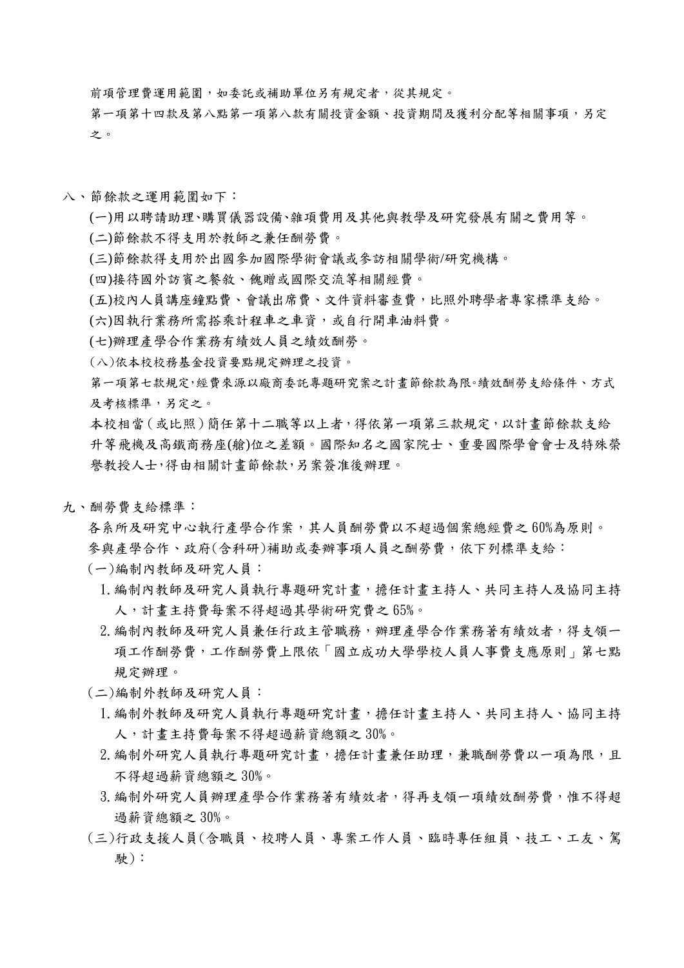前項管理費運用範圍,如委託或補助單位另有規定者,從其規定。

第一項第十四款及第八點第一項第八款有關投資金額、投資期間及獲利分配等相關事項,另定 之。

- 八、節餘款之運用範圍如下:
	- (一)用以聘請助理、購買儀器設備、雜項費用及其他與教學及研究發展有關之費用等。
	- (二)節餘款不得支用於教師之兼任酬勞費。
	- (三)節餘款得支用於出國參加國際學術會議或參訪相關學術/研究機構。
	- (四)接待國外訪賓之餐敘、餽贈或國際交流等相關經費。
	- (五)校內人員講座鐘點費、會議出席費、文件資料審查費,比照外聘學者專家標準支給。
	- (六)因執行業務所需搭乘計程車之車資,或自行開車油料費。
	- (七)辦理產學合作業務有績效人員之績效酬勞。
	- (八)依本校校務基金投資要點規定辦理之投資。
	- 第一項第七款規定,經費來源以廠商委託專題研究案之計畫節餘款為限。績效酬勞支給條件、方式 及考核標準,另定之。
	- 本校相當(或比照)簡任第十二職等以上者,得依第一項第三款規定,以計畫節餘款支給 升等飛機及高鐵商務座(艙)位之差額。國際知名之國家院士、重要國際學會會士及特殊榮 譽教授人士,得由相關計畫節餘款,另案簽准後辦理。
- 九、酬勞費支給標準:
	- 各系所及研究中心執行產學合作案,其人員酬勞費以不超過個案總經費之60%為原則。 參與產學合作、政府(含科研)補助或委辦事項人員之酬勞費,依下列標準支給:
	- (一)編制內教師及研究人員:
		- 1.編制內教師及研究人員執行專題研究計畫,擔任計畫主持人、共同主持人及協同主持 人,計畫主持費每案不得超過其學術研究費之 65%。
		- 2. 編制內教師及研究人員兼任行政主管職務,辦理產學合作業務著有績效者,得支領一 項工作酬勞費,工作酬勞費上限依「國立成功大學學校人員人事費支應原則」第七點 規定辦理。
	- (二)編制外教師及研究人員:
		- 1. 編制外教師及研究人員執行專題研究計畫,擔任計畫主持人、共同主持人、協同主持 人,計畫主持費每案不得超過薪資總額之 30%。
		- 2. 編制外研究人員執行專題研究計書,擔任計畫兼任助理,兼職酬勞費以一項為限,且 不得超過薪資總額之 30%。
		- 3. 編制外研究人員辦理產學合作業務著有績效者,得再支領一項績效酬勞費,惟不得超 過薪資總額之 30%。
	- (三)行政支援人員(含職員、校聘人員、專案工作人員、臨時專任組員、技工、工友、駕 駛):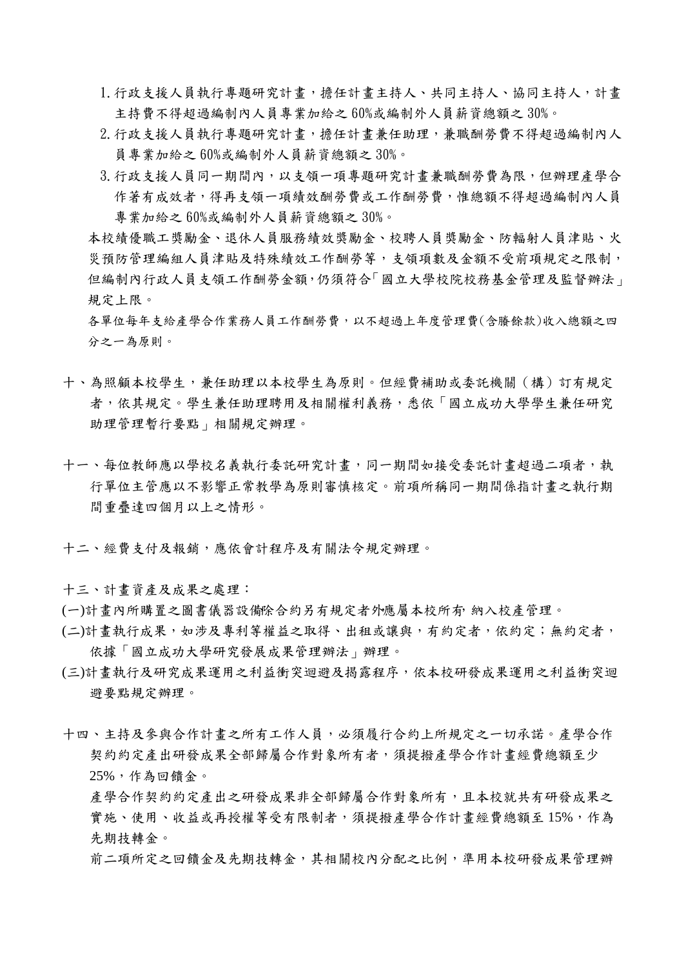- 1. 行政支援人員執行專題研究計畫,擔任計畫主持人、共同主持人、協同主持人,計畫 主持費不得超過編制內人員專業加給之 60%或編制外人員薪資總額之 30%。
- 2.行政支援人員執行專題研究計畫,擔任計畫兼任助理,兼職酬勞費不得超過編制內人 員專業加給之 60%或編制外人員薪資總額之 30%。
- 3. 行政支援人員同一期間內,以支領一項專題研究計書兼職酬勞費為限,但辦理產學合 作著有成效者,得再支領一項績效酬勞費或工作酬勞費,惟總額不得超過編制內人員 專業加給之 60%或編制外人員薪資總額之 30%。

本校績優職工獎勵金、退休人員服務績效獎勵金、校聘人員獎勵金、防輻射人員津貼、火 災預防管理編組人員津貼及特殊績效工作酬勞等,支領項數及金額不受前項規定之限制, 但編制內行政人員支領工作酬勞金額,仍須符合「國立大學校院校務基金管理及監督辦法」 規定上限。

各單位每年支給產學合作業務人員工作酬勞費,以不超過上年度管理費(含賸餘款)收入總額之四 分之一為原則。

- 十、為照顧本校學生,兼任助理以本校學生為原則。但經費補助或委託機關(構)訂有規定 者,依其規定。學生兼任助理聘用及相關權利義務,悉依「國立成功大學學生兼任研究 助理管理暫行要點」相關規定辦理。
- 十一、每位教師應以學校名義執行委託研究計畫,同一期間如接受委託計畫超過二項者,執 行單位主管應以不影響正常教學為原則審慎核定。前項所稱同一期間係指計畫之執行期 間重疊達四個月以上之情形。
- 十二、經費支付及報銷,應依會計程序及有關法令規定辦理。

十三、計畫資產及成果之處理:

- (一)計書內所購置之圖書儀器設備除合約另有規定者外應屬本校所有,納入校產管理。
- (二)計畫執行成果,如涉及專利等權益之取得、出租或讓與,有約定者,依約定;無約定者, 依據「國立成功大學研究發展成果管理辦法」辦理。
- (三)計畫執行及研究成果運用之利益衝突迴避及揭露程序,依本校研發成果運用之利益衝突迴 避要點規定辦理。
- 十四、主持及參與合作計畫之所有工作人員,必須履行合約上所規定之一切承諾。產學合作 契約約定產出研發成果全部歸屬合作對象所有者,須提撥產學合作計畫經費總額至少 25%,作為回饋金。

產學合作契約約定產出之研發成果非全部歸屬合作對象所有,且本校就共有研發成果之 實施、使用、收益或再授權等受有限制者,須提撥產學合作計畫經費總額至15%,作為 先期技轉金。

前二項所定之回饋金及先期技轉金,其相關校內分配之比例,準用本校研發成果管理辦